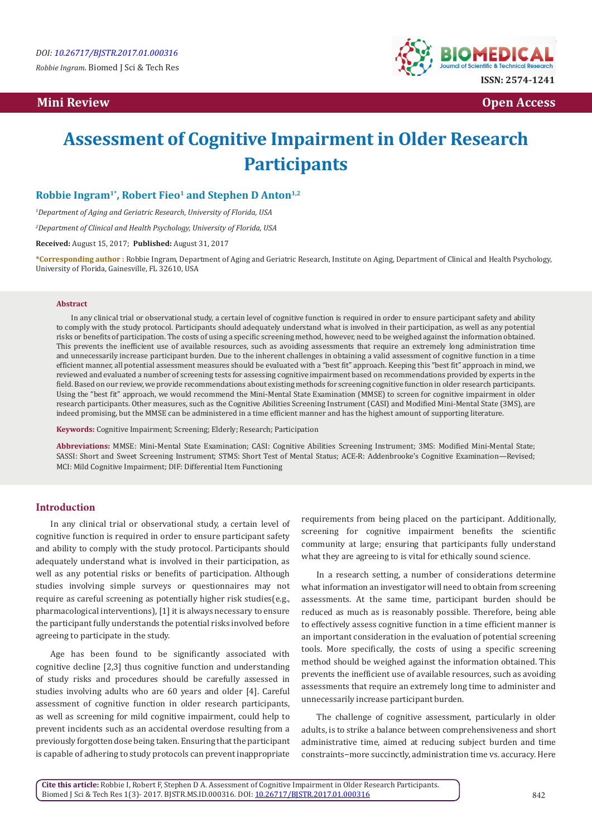# *Mini Review* **Open Access <b>Open Access Open Access**



# **Assessment of Cognitive Impairment in Older Research Participants**

# Robbie Ingram<sup>1\*</sup>, Robert Fieo<sup>1</sup> and Stephen D Anton<sup>1,2</sup>

*1 Department of Aging and Geriatric Research, University of Florida, USA*

*2 Department of Clinical and Health Psychology, University of Florida, USA*

**Received:** August 15, 2017; **Published:** August 31, 2017

**\*Corresponding author :** Robbie Ingram, Department of Aging and Geriatric Research, Institute on Aging, Department of Clinical and Health Psychology, University of Florida, Gainesville, FL 32610, USA

#### **Abstract**

In any clinical trial or observational study, a certain level of cognitive function is required in order to ensure participant safety and ability to comply with the study protocol. Participants should adequately understand what is involved in their participation, as well as any potential risks or benefits of participation. The costs of using a specific screening method, however, need to be weighed against the information obtained. This prevents the inefficient use of available resources, such as avoiding assessments that require an extremely long administration time and unnecessarily increase participant burden. Due to the inherent challenges in obtaining a valid assessment of cognitive function in a time efficient manner, all potential assessment measures should be evaluated with a "best fit" approach. Keeping this "best fit" approach in mind, we reviewed and evaluated a number of screening tests for assessing cognitive impairment based on recommendations provided by experts in the field. Based on our review, we provide recommendations about existing methods for screening cognitive function in older research participants. Using the "best fit" approach, we would recommend the Mini-Mental State Examination (MMSE) to screen for cognitive impairment in older research participants. Other measures, such as the Cognitive Abilities Screening Instrument (CASI) and Modified Mini-Mental State (3MS), are indeed promising, but the MMSE can be administered in a time efficient manner and has the highest amount of supporting literature.

**Keywords:** Cognitive Impairment; Screening; Elderly; Research; Participation

**Abbreviations:** MMSE: Mini-Mental State Examination; CASI: Cognitive Abilities Screening Instrument; 3MS: Modified Mini-Mental State; SASSI: Short and Sweet Screening Instrument; STMS: Short Test of Mental Status; ACE-R: Addenbrooke's Cognitive Examination—Revised; MCI: Mild Cognitive Impairment; DIF: Differential Item Functioning

## **Introduction**

In any clinical trial or observational study, a certain level of cognitive function is required in order to ensure participant safety and ability to comply with the study protocol. Participants should adequately understand what is involved in their participation, as well as any potential risks or benefits of participation. Although studies involving simple surveys or questionnaires may not require as careful screening as potentially higher risk studies(e.g., pharmacological interventions), [1] it is always necessary to ensure the participant fully understands the potential risks involved before agreeing to participate in the study.

Age has been found to be significantly associated with cognitive decline [2,3] thus cognitive function and understanding of study risks and procedures should be carefully assessed in studies involving adults who are 60 years and older [4]. Careful assessment of cognitive function in older research participants, as well as screening for mild cognitive impairment, could help to prevent incidents such as an accidental overdose resulting from a previously forgotten dose being taken. Ensuring that the participant is capable of adhering to study protocols can prevent inappropriate

requirements from being placed on the participant. Additionally, screening for cognitive impairment benefits the scientific community at large; ensuring that participants fully understand what they are agreeing to is vital for ethically sound science.

In a research setting, a number of considerations determine what information an investigator will need to obtain from screening assessments. At the same time, participant burden should be reduced as much as is reasonably possible. Therefore, being able to effectively assess cognitive function in a time efficient manner is an important consideration in the evaluation of potential screening tools. More specifically, the costs of using a specific screening method should be weighed against the information obtained. This prevents the inefficient use of available resources, such as avoiding assessments that require an extremely long time to administer and unnecessarily increase participant burden.

The challenge of cognitive assessment, particularly in older adults, is to strike a balance between comprehensiveness and short administrative time, aimed at reducing subject burden and time constraints−more succinctly, administration time vs. accuracy. Here

**Cite this article:** Robbie I, Robert F, Stephen D A. Assessment of Cognitive Impairment in Older Research Participants. Biomed J Sci & Tech Res 1(3)- 2017. BJSTR.MS.ID.000316. DOI: [10.26717/BJSTR.2017.01.000316](http://dx.doi.org/10.26717/BJSTR.2017.01.000316)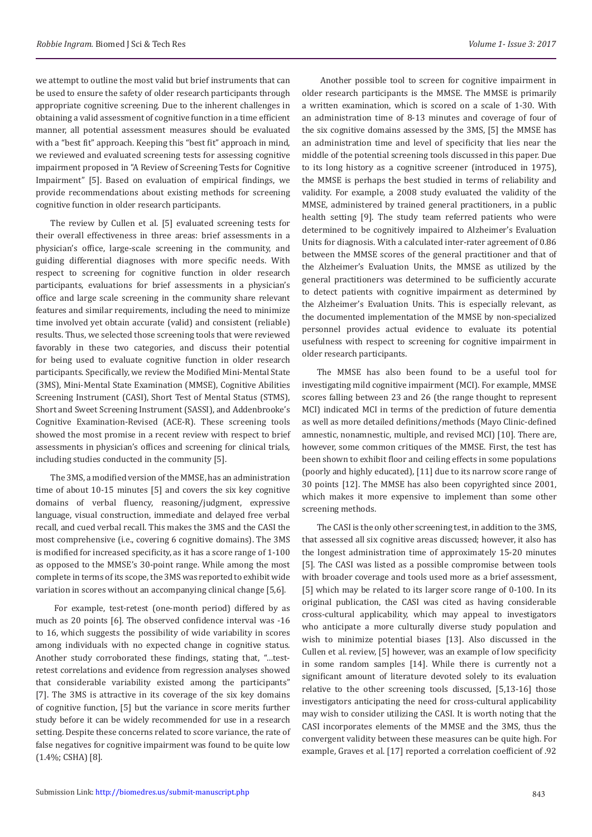we attempt to outline the most valid but brief instruments that can be used to ensure the safety of older research participants through appropriate cognitive screening. Due to the inherent challenges in obtaining a valid assessment of cognitive function in a time efficient manner, all potential assessment measures should be evaluated with a "best fit" approach. Keeping this "best fit" approach in mind, we reviewed and evaluated screening tests for assessing cognitive impairment proposed in "A Review of Screening Tests for Cognitive Impairment" [5]. Based on evaluation of empirical findings, we provide recommendations about existing methods for screening cognitive function in older research participants.

The review by Cullen et al. [5] evaluated screening tests for their overall effectiveness in three areas: brief assessments in a physician's office, large-scale screening in the community, and guiding differential diagnoses with more specific needs. With respect to screening for cognitive function in older research participants, evaluations for brief assessments in a physician's office and large scale screening in the community share relevant features and similar requirements, including the need to minimize time involved yet obtain accurate (valid) and consistent (reliable) results. Thus, we selected those screening tools that were reviewed favorably in these two categories, and discuss their potential for being used to evaluate cognitive function in older research participants. Specifically, we review the Modified Mini-Mental State (3MS), Mini-Mental State Examination (MMSE), Cognitive Abilities Screening Instrument (CASI), Short Test of Mental Status (STMS), Short and Sweet Screening Instrument (SASSI), and Addenbrooke's Cognitive Examination-Revised (ACE-R). These screening tools showed the most promise in a recent review with respect to brief assessments in physician's offices and screening for clinical trials, including studies conducted in the community [5].

The 3MS, a modified version of the MMSE, has an administration time of about 10-15 minutes [5] and covers the six key cognitive domains of verbal fluency, reasoning/judgment, expressive language, visual construction, immediate and delayed free verbal recall, and cued verbal recall. This makes the 3MS and the CASI the most comprehensive (i.e., covering 6 cognitive domains). The 3MS is modified for increased specificity, as it has a score range of 1-100 as opposed to the MMSE's 30-point range. While among the most complete in terms of its scope, the 3MS was reported to exhibit wide variation in scores without an accompanying clinical change [5,6].

 For example, test-retest (one-month period) differed by as much as 20 points [6]. The observed confidence interval was -16 to 16, which suggests the possibility of wide variability in scores among individuals with no expected change in cognitive status. Another study corroborated these findings, stating that, "…testretest correlations and evidence from regression analyses showed that considerable variability existed among the participants" [7]. The 3MS is attractive in its coverage of the six key domains of cognitive function, [5] but the variance in score merits further study before it can be widely recommended for use in a research setting. Despite these concerns related to score variance, the rate of false negatives for cognitive impairment was found to be quite low (1.4%; CSHA) [8].

 Another possible tool to screen for cognitive impairment in older research participants is the MMSE. The MMSE is primarily a written examination, which is scored on a scale of 1-30. With an administration time of 8-13 minutes and coverage of four of the six cognitive domains assessed by the 3MS, [5] the MMSE has an administration time and level of specificity that lies near the middle of the potential screening tools discussed in this paper. Due to its long history as a cognitive screener (introduced in 1975), the MMSE is perhaps the best studied in terms of reliability and validity. For example, a 2008 study evaluated the validity of the MMSE, administered by trained general practitioners, in a public health setting [9]. The study team referred patients who were determined to be cognitively impaired to Alzheimer's Evaluation Units for diagnosis. With a calculated inter-rater agreement of 0.86 between the MMSE scores of the general practitioner and that of the Alzheimer's Evaluation Units, the MMSE as utilized by the general practitioners was determined to be sufficiently accurate to detect patients with cognitive impairment as determined by the Alzheimer's Evaluation Units. This is especially relevant, as the documented implementation of the MMSE by non-specialized personnel provides actual evidence to evaluate its potential usefulness with respect to screening for cognitive impairment in older research participants.

The MMSE has also been found to be a useful tool for investigating mild cognitive impairment (MCI). For example, MMSE scores falling between 23 and 26 (the range thought to represent MCI) indicated MCI in terms of the prediction of future dementia as well as more detailed definitions/methods (Mayo Clinic-defined amnestic, nonamnestic, multiple, and revised MCI) [10]. There are, however, some common critiques of the MMSE. First, the test has been shown to exhibit floor and ceiling effects in some populations (poorly and highly educated), [11] due to its narrow score range of 30 points [12]. The MMSE has also been copyrighted since 2001, which makes it more expensive to implement than some other screening methods.

The CASI is the only other screening test, in addition to the 3MS, that assessed all six cognitive areas discussed; however, it also has the longest administration time of approximately 15-20 minutes [5]. The CASI was listed as a possible compromise between tools with broader coverage and tools used more as a brief assessment, [5] which may be related to its larger score range of 0-100. In its original publication, the CASI was cited as having considerable cross-cultural applicability, which may appeal to investigators who anticipate a more culturally diverse study population and wish to minimize potential biases [13]. Also discussed in the Cullen et al. review, [5] however, was an example of low specificity in some random samples [14]. While there is currently not a significant amount of literature devoted solely to its evaluation relative to the other screening tools discussed, [5,13-16] those investigators anticipating the need for cross-cultural applicability may wish to consider utilizing the CASI. It is worth noting that the CASI incorporates elements of the MMSE and the 3MS, thus the convergent validity between these measures can be quite high. For example, Graves et al. [17] reported a correlation coefficient of .92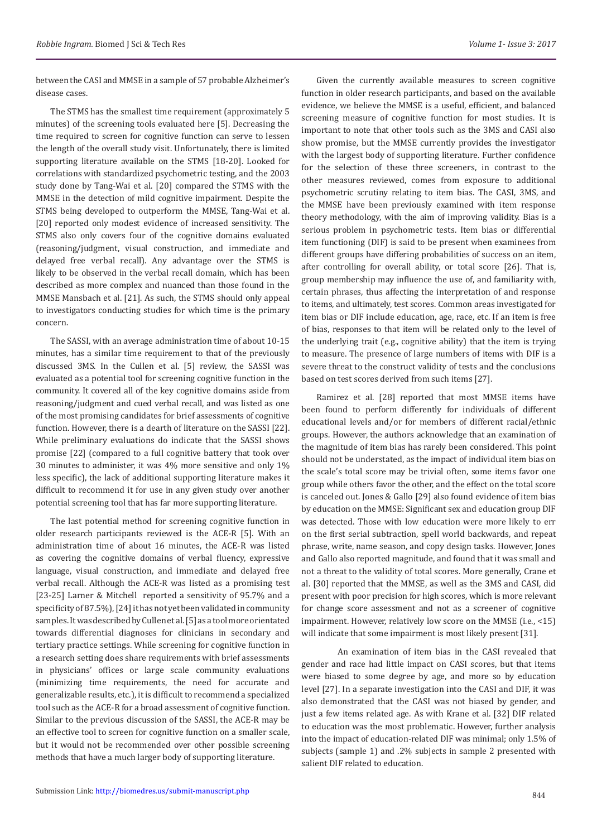between the CASI and MMSE in a sample of 57 probable Alzheimer's disease cases.

The STMS has the smallest time requirement (approximately 5 minutes) of the screening tools evaluated here [5]. Decreasing the time required to screen for cognitive function can serve to lessen the length of the overall study visit. Unfortunately, there is limited supporting literature available on the STMS [18-20]. Looked for correlations with standardized psychometric testing, and the 2003 study done by Tang-Wai et al. [20] compared the STMS with the MMSE in the detection of mild cognitive impairment. Despite the STMS being developed to outperform the MMSE, Tang-Wai et al. [20] reported only modest evidence of increased sensitivity. The STMS also only covers four of the cognitive domains evaluated (reasoning/judgment, visual construction, and immediate and delayed free verbal recall). Any advantage over the STMS is likely to be observed in the verbal recall domain, which has been described as more complex and nuanced than those found in the MMSE Mansbach et al. [21]. As such, the STMS should only appeal to investigators conducting studies for which time is the primary concern.

The SASSI, with an average administration time of about 10-15 minutes, has a similar time requirement to that of the previously discussed 3MS. In the Cullen et al. [5] review, the SASSI was evaluated as a potential tool for screening cognitive function in the community. It covered all of the key cognitive domains aside from reasoning/judgment and cued verbal recall, and was listed as one of the most promising candidates for brief assessments of cognitive function. However, there is a dearth of literature on the SASSI [22]. While preliminary evaluations do indicate that the SASSI shows promise [22] (compared to a full cognitive battery that took over 30 minutes to administer, it was 4% more sensitive and only 1% less specific), the lack of additional supporting literature makes it difficult to recommend it for use in any given study over another potential screening tool that has far more supporting literature.

The last potential method for screening cognitive function in older research participants reviewed is the ACE-R [5]. With an administration time of about 16 minutes, the ACE-R was listed as covering the cognitive domains of verbal fluency, expressive language, visual construction, and immediate and delayed free verbal recall. Although the ACE-R was listed as a promising test [23-25] Larner & Mitchell reported a sensitivity of 95.7% and a specificity of 87.5%), [24] it has not yet been validated in community samples. It was described by Cullen et al. [5] as a tool more orientated towards differential diagnoses for clinicians in secondary and tertiary practice settings. While screening for cognitive function in a research setting does share requirements with brief assessments in physicians' offices or large scale community evaluations (minimizing time requirements, the need for accurate and generalizable results, etc.), it is difficult to recommend a specialized tool such as the ACE-R for a broad assessment of cognitive function. Similar to the previous discussion of the SASSI, the ACE-R may be an effective tool to screen for cognitive function on a smaller scale, but it would not be recommended over other possible screening methods that have a much larger body of supporting literature.

Given the currently available measures to screen cognitive function in older research participants, and based on the available evidence, we believe the MMSE is a useful, efficient, and balanced screening measure of cognitive function for most studies. It is important to note that other tools such as the 3MS and CASI also show promise, but the MMSE currently provides the investigator with the largest body of supporting literature. Further confidence for the selection of these three screeners, in contrast to the other measures reviewed, comes from exposure to additional psychometric scrutiny relating to item bias. The CASI, 3MS, and the MMSE have been previously examined with item response theory methodology, with the aim of improving validity. Bias is a serious problem in psychometric tests. Item bias or differential item functioning (DIF) is said to be present when examinees from different groups have differing probabilities of success on an item, after controlling for overall ability, or total score [26]. That is, group membership may influence the use of, and familiarity with, certain phrases, thus affecting the interpretation of and response to items, and ultimately, test scores. Common areas investigated for item bias or DIF include education, age, race, etc. If an item is free of bias, responses to that item will be related only to the level of the underlying trait (e.g., cognitive ability) that the item is trying to measure. The presence of large numbers of items with DIF is a severe threat to the construct validity of tests and the conclusions based on test scores derived from such items [27].

Ramirez et al. [28] reported that most MMSE items have been found to perform differently for individuals of different educational levels and/or for members of different racial/ethnic groups. However, the authors acknowledge that an examination of the magnitude of item bias has rarely been considered. This point should not be understated, as the impact of individual item bias on the scale's total score may be trivial often, some items favor one group while others favor the other, and the effect on the total score is canceled out. Jones & Gallo [29] also found evidence of item bias by education on the MMSE: Significant sex and education group DIF was detected. Those with low education were more likely to err on the first serial subtraction, spell world backwards, and repeat phrase, write, name season, and copy design tasks. However, Jones and Gallo also reported magnitude, and found that it was small and not a threat to the validity of total scores. More generally, Crane et al. [30] reported that the MMSE, as well as the 3MS and CASI, did present with poor precision for high scores, which is more relevant for change score assessment and not as a screener of cognitive impairment. However, relatively low score on the MMSE (i.e., <15) will indicate that some impairment is most likely present [31].

An examination of item bias in the CASI revealed that gender and race had little impact on CASI scores, but that items were biased to some degree by age, and more so by education level [27]. In a separate investigation into the CASI and DIF, it was also demonstrated that the CASI was not biased by gender, and just a few items related age. As with Krane et al. [32] DIF related to education was the most problematic. However, further analysis into the impact of education-related DIF was minimal; only 1.5% of subjects (sample 1) and .2% subjects in sample 2 presented with salient DIF related to education.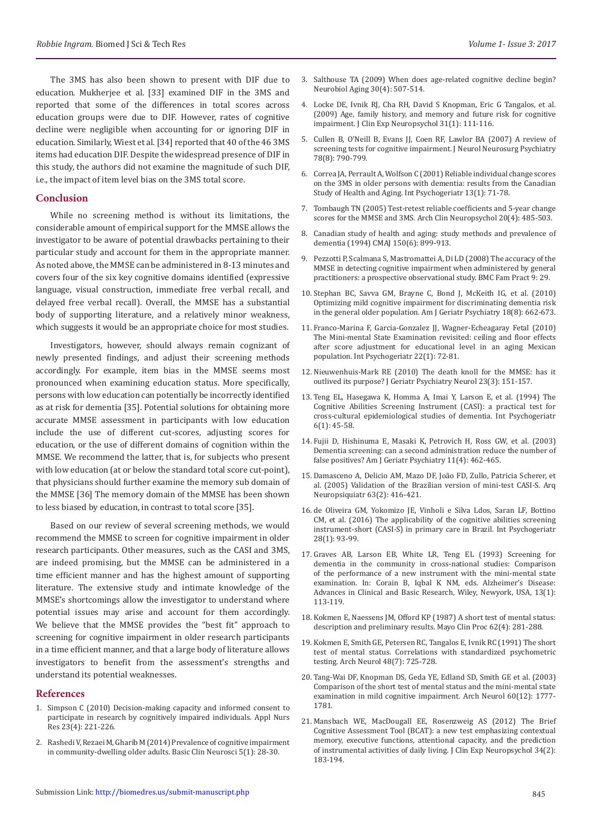The 3MS has also been shown to present with DIF due to education. Mukherjee et al. [33] examined DIF in the 3MS and reported that some of the differences in total scores across education groups were due to DIF. However, rates of cognitive decline were negligible when accounting for or ignoring DIF in education. Similarly, Wiest et al. [34] reported that 40 of the 46 3MS items had education DIF. Despite the widespread presence of DIF in this study, the authors did not examine the magnitude of such DIF, i.e., the impact of item level bias on the 3MS total score.

### **Conclusion**

While no screening method is without its limitations, the considerable amount of empirical support for the MMSE allows the investigator to be aware of potential drawbacks pertaining to their particular study and account for them in the appropriate manner. As noted above, the MMSE can be administered in 8-13 minutes and covers four of the six key cognitive domains identified (expressive language, visual construction, immediate free verbal recall, and delayed free verbal recall). Overall, the MMSE has a substantial body of supporting literature, and a relatively minor weakness, which suggests it would be an appropriate choice for most studies.

Investigators, however, should always remain cognizant of newly presented findings, and adjust their screening methods accordingly. For example, item bias in the MMSE seems most pronounced when examining education status. More specifically, persons with low education can potentially be incorrectly identified as at risk for dementia [35]. Potential solutions for obtaining more accurate MMSE assessment in participants with low education include the use of different cut-scores, adjusting scores for education, or the use of different domains of cognition within the MMSE. We recommend the latter, that is, for subjects who present with low education (at or below the standard total score cut-point), that physicians should further examine the memory sub domain of the MMSE [36] The memory domain of the MMSE has been shown to less biased by education, in contrast to total score [35].

Based on our review of several screening methods, we would recommend the MMSE to screen for cognitive impairment in older research participants. Other measures, such as the CASI and 3MS, are indeed promising, but the MMSE can be administered in a time efficient manner and has the highest amount of supporting literature. The extensive study and intimate knowledge of the MMSE's shortcomings allow the investigator to understand where potential issues may arise and account for them accordingly. We believe that the MMSE provides the "best fit" approach to screening for cognitive impairment in older research participants in a time efficient manner, and that a large body of literature allows investigators to benefit from the assessment's strengths and understand its potential weaknesses.

#### **References**

- 1. [Simpson C \(2010\) Decision-making capacity and informed consent to](https://www.ncbi.nlm.nih.gov/pubmed/21035032)  [participate in research by cognitively impaired individuals. Appl Nurs](https://www.ncbi.nlm.nih.gov/pubmed/21035032)  [Res 23\(4\): 221-226.](https://www.ncbi.nlm.nih.gov/pubmed/21035032)
- 2. [Rashedi V, Rezaei M, Gharib M \(2014\) Prevalence of cognitive impairment](https://www.ncbi.nlm.nih.gov/pmc/articles/PMC4202605/)  [in community-dwelling older adults. Basic Clin Neurosci 5\(1\): 28-30.](https://www.ncbi.nlm.nih.gov/pmc/articles/PMC4202605/)
- 3. [Salthouse TA \(2009\) When does age-related cognitive decline begin?](https://www.ncbi.nlm.nih.gov/pubmed/19231028) [Neurobiol Aging 30\(4\): 507-514.](https://www.ncbi.nlm.nih.gov/pubmed/19231028)
- 4. Locke DE, Ivnik RJ, Cha RH, [David S Knopman](https://www.ncbi.nlm.nih.gov/pubmed/?term=Knopman%20DS%5BAuthor%5D&cauthor=true&cauthor_uid=18608678), [Eric G Tangalos, et al.](https://www.ncbi.nlm.nih.gov/pubmed/?term=Tangalos%20EG%5BAuthor%5D&cauthor=true&cauthor_uid=18608678) [\(2009\) Age, family history, and memory and future risk for cognitive](https://www.ncbi.nlm.nih.gov/pubmed/?term=Tangalos%20EG%5BAuthor%5D&cauthor=true&cauthor_uid=18608678) [impairment. J Clin Exp Neuropsychol 31\(1\): 111-116.](https://www.ncbi.nlm.nih.gov/pubmed/?term=Tangalos%20EG%5BAuthor%5D&cauthor=true&cauthor_uid=18608678)
- 5. [Cullen B, O'Neill B, Evans JJ, Coen RF, Lawlor BA \(2007\) A review of](https://www.ncbi.nlm.nih.gov/pubmed/17178826) [screening tests for cognitive impairment. J Neurol Neurosurg Psychiatry](https://www.ncbi.nlm.nih.gov/pubmed/17178826) [78\(8\): 790-799.](https://www.ncbi.nlm.nih.gov/pubmed/17178826)
- 6. [Correa JA, Perrault A, Wolfson C \(2001\) Reliable individual change scores](https://www.ncbi.nlm.nih.gov/pubmed/11892977) [on the 3MS in older persons with dementia: results from the Canadian](https://www.ncbi.nlm.nih.gov/pubmed/11892977) [Study of Health and Aging. Int Psychogeriatr 13\(1\): 71-78.](https://www.ncbi.nlm.nih.gov/pubmed/11892977)
- 7. [Tombaugh TN \(2005\) Test-retest reliable coefficients and 5-year change](https://www.ncbi.nlm.nih.gov/pubmed/15896562) [scores for the MMSE and 3MS. Arch Clin Neuropsychol 20\(4\): 485-503.](https://www.ncbi.nlm.nih.gov/pubmed/15896562)
- 8. [Canadian study of health and aging: study methods and prevalence of](https://www.ncbi.nlm.nih.gov/pmc/articles/PMC1486712/) [dementia \(1994\) CMAJ 150\(6\): 899-913.](https://www.ncbi.nlm.nih.gov/pmc/articles/PMC1486712/)
- 9. [Pezzotti P, Scalmana S, Mastromattei A, Di LD \(2008\) The accuracy of the](https://www.ncbi.nlm.nih.gov/pubmed/18477390) [MMSE in detecting cognitive impairment when administered by general](https://www.ncbi.nlm.nih.gov/pubmed/18477390) [practitioners: a prospective observational study. BMC Fam Pract 9: 29.](https://www.ncbi.nlm.nih.gov/pubmed/18477390)
- 10. [Stephan BC, Savva GM, Brayne C, Bond J, McKeith IG, et al. \(2010\)](http://www.ajgponline.org/article/S1064-7481(12)60145-6/abstract) [Optimizing mild cognitive impairment for discriminating dementia risk](http://www.ajgponline.org/article/S1064-7481(12)60145-6/abstract) [in the general older population. Am J Geriatr Psychiatry 18\(8\): 662-673.](http://www.ajgponline.org/article/S1064-7481(12)60145-6/abstract)
- 11. [Franco-Marina F, Garcia-Gonzalez JJ, Wagner-Echeagaray Fetal \(2010\)](https://www.ncbi.nlm.nih.gov/pubmed/19735592) [The Mini-mental State Examination revisited: ceiling and floor effects](https://www.ncbi.nlm.nih.gov/pubmed/19735592) [after score adjustment for educational level in an aging Mexican](https://www.ncbi.nlm.nih.gov/pubmed/19735592) [population. Int Psychogeriatr 22\(1\): 72-81.](https://www.ncbi.nlm.nih.gov/pubmed/19735592)
- 12. [Nieuwenhuis-Mark RE \(2010\) The death knoll for the MMSE: has it](https://www.ncbi.nlm.nih.gov/pubmed/20231732) [outlived its purpose? J Geriatr Psychiatry Neurol 23\(3\): 151-157.](https://www.ncbi.nlm.nih.gov/pubmed/20231732)
- 13. Teng EL, Hasegawa K, Homma A, [Imai Y,](https://www.ncbi.nlm.nih.gov/pubmed/?term=Imai%20Y%5BAuthor%5D&cauthor=true&cauthor_uid=8054493) Larson E, [et al. \(1994\) The](https://www.ncbi.nlm.nih.gov/pubmed/?term=Larson%20E%5BAuthor%5D&cauthor=true&cauthor_uid=8054493) [Cognitive Abilities Screening Instrument \(CASI\): a practical test for](https://www.ncbi.nlm.nih.gov/pubmed/?term=Larson%20E%5BAuthor%5D&cauthor=true&cauthor_uid=8054493) [cross-cultural epidemiological studies of dementia. Int Psychogeriatr](https://www.ncbi.nlm.nih.gov/pubmed/?term=Larson%20E%5BAuthor%5D&cauthor=true&cauthor_uid=8054493) [6\(1\): 45-58.](https://www.ncbi.nlm.nih.gov/pubmed/?term=Larson%20E%5BAuthor%5D&cauthor=true&cauthor_uid=8054493)
- 14. [Fujii D, Hishinuma E, Masaki K, Petrovich H, Ross GW, et al. \(2003\)](https://www.ncbi.nlm.nih.gov/pubmed/12837676) [Dementia screening: can a second administration reduce the number of](https://www.ncbi.nlm.nih.gov/pubmed/12837676) [false positives? Am J Geriatr Psychiatry 11\(4\): 462-465.](https://www.ncbi.nlm.nih.gov/pubmed/12837676)
- 15. [Damasceno A, Delicio AM, Mazo DF, João FD, Zullo, Patricia Scherer, et](http://www.scielo.br/scielo.php?script=sci_arttext&pid=S0004-282X2005000300010) [al. \(2005\) Validation of the Brazilian version of mini-test CASI-S. Arq](http://www.scielo.br/scielo.php?script=sci_arttext&pid=S0004-282X2005000300010) [Neuropsiquiatr 63\(2\): 416-421](http://www.scielo.br/scielo.php?script=sci_arttext&pid=S0004-282X2005000300010).
- 16. [de Oliveira GM, Yokomizo JE, Vinholi e Silva Ldos, Saran LF, Bottino](https://www.ncbi.nlm.nih.gov/pubmed/25921381) [CM, et al. \(2016\) The applicability of the cognitive abilities screening](https://www.ncbi.nlm.nih.gov/pubmed/25921381) [instrument-short \(CASI-S\) in primary care in Brazil. Int Psychogeriatr](https://www.ncbi.nlm.nih.gov/pubmed/25921381) [28\(1\): 93-99.](https://www.ncbi.nlm.nih.gov/pubmed/25921381)
- 17. [Graves AB, Larson EB, White LR, Teng EL \(1993\) Screening for](http://www.neurobiologyofaging.org/article/0197-4580(92)90575-I/abstract) [dementia in the community in cross-national studies: Comparison](http://www.neurobiologyofaging.org/article/0197-4580(92)90575-I/abstract) [of the performance of a new instrument with the mini-mental state](http://www.neurobiologyofaging.org/article/0197-4580(92)90575-I/abstract) [examination. In: Corain B, Iqbal K NM, eds. Alzheimer's Disease:](http://www.neurobiologyofaging.org/article/0197-4580(92)90575-I/abstract) [Advances in Clinical and Basic Research, Wiley, Newyork, USA, 13\(1\):](http://www.neurobiologyofaging.org/article/0197-4580(92)90575-I/abstract) [113-119.](http://www.neurobiologyofaging.org/article/0197-4580(92)90575-I/abstract)
- 18. [Kokmen E, Naessens JM, Offord KP \(1987\) A short test of mental status:](https://www.ncbi.nlm.nih.gov/pubmed/3561043) [description and preliminary results. Mayo Clin Proc 62\(4\): 281-288.](https://www.ncbi.nlm.nih.gov/pubmed/3561043)
- 19. [Kokmen E, Smith GE, Petersen RC, Tangalos E, Ivnik RC \(1991\) The short](https://www.ncbi.nlm.nih.gov/pubmed/1859300) [test of mental status. Correlations with standardized psychometric](https://www.ncbi.nlm.nih.gov/pubmed/1859300) [testing. Arch Neurol 48\(7\): 725-728.](https://www.ncbi.nlm.nih.gov/pubmed/1859300)
- 20. Tang-Wai DF, Knopman DS, Geda YE, [Edland SD](https://www.ncbi.nlm.nih.gov/pubmed/?term=Edland%20SD%5BAuthor%5D&cauthor=true&cauthor_uid=14676056), [Smith GE et al. \(2003\)](https://www.ncbi.nlm.nih.gov/pubmed/?term=Smith%20GE%5BAuthor%5D&cauthor=true&cauthor_uid=14676056) [Comparison of the short test of mental status and the mini-mental state](https://www.ncbi.nlm.nih.gov/pubmed/?term=Smith%20GE%5BAuthor%5D&cauthor=true&cauthor_uid=14676056) [examination in mild cognitive impairment. Arch Neurol 60\(12\): 1777-](https://www.ncbi.nlm.nih.gov/pubmed/?term=Smith%20GE%5BAuthor%5D&cauthor=true&cauthor_uid=14676056) [1781.](https://www.ncbi.nlm.nih.gov/pubmed/?term=Smith%20GE%5BAuthor%5D&cauthor=true&cauthor_uid=14676056)
- 21. [Mansbach WE, MacDougall EE, Rosenzweig AS \(2012\) The Brief](https://www.ncbi.nlm.nih.gov/pubmed/22149477) [Cognitive Assessment Tool \(BCAT\): a new test emphasizing contextual](https://www.ncbi.nlm.nih.gov/pubmed/22149477) [memory, executive functions, attentional capacity, and the prediction](https://www.ncbi.nlm.nih.gov/pubmed/22149477) [of instrumental activities of daily living. J Clin Exp Neuropsychol 34\(2\):](https://www.ncbi.nlm.nih.gov/pubmed/22149477) [183-194.](https://www.ncbi.nlm.nih.gov/pubmed/22149477)